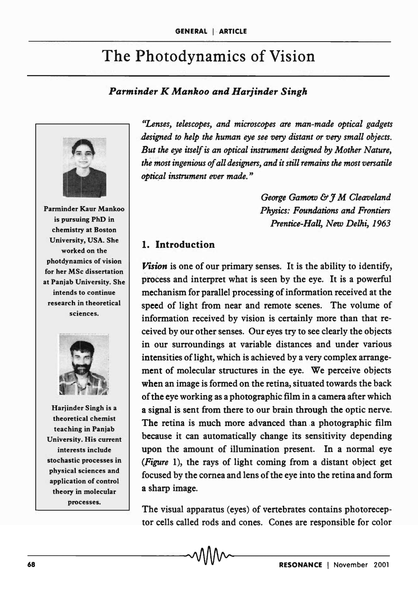# The Photodynamics of Vision

## *Parminder K Mankoo and Harjinder Singh*



Parminder Kaur Mankoo is pursuing PhD in chemistry at Boston University, USA. She worked on the photdynamics of vision for her MSc dissertation at Panjab University. She intends to continue research in theoretical sciences.



Harjinder Singh is a theoretical chemist teaching in Panjab University. His current interests include stochastic processes in physical sciences and application of control theory in molecular processes.

*"Lenses, telescopes, and microscopes are man-made optical gadgets .designed to help the human eye see very distant or very small objects. But the eye itself is an optical instrument designed by Mother Nature, the most ingenious of all designers, and it still remains the most versatile optic,al instrument ever made. "* 

> *George Gamow* & J *M Cleaveland Physics: Foundations and Frontiers*  Prentice-Hall, New Delhi, 1963

### 1. Introduction

*Vision* is one of our primary senses. It is the ability to identify, process and interpret what is seen by the eye. It is a powerful mechanism for parallel processing of information received at the speed of light from near and remote scenes. The volume of information received by vision is certainly more than that received by our other senses. Our eyes try to see clearly the objects in our surroundings at variable distances and under various intensities of light, which is achieved by a very complex arrangement of molecular structures in the eye. We perceive objects when an image is formed on the retina, situated towards the back of the eye working as a photographic film in a camera after which a signal is sent from there to our brain through the optic nerve. The retina is much more advanced than.a photographic film because it can automatically change its sensitivity depending upon the amount of illumination present. In a normal eye *(Figure* 1), the rays of light coming from a distant object get focused by the cornea and lens of the eye into the retina and form a sharp image.

The visual apparatus (eyes) of vertebrates contains photoreceptor cells called rods and cones. Cones are responsible for color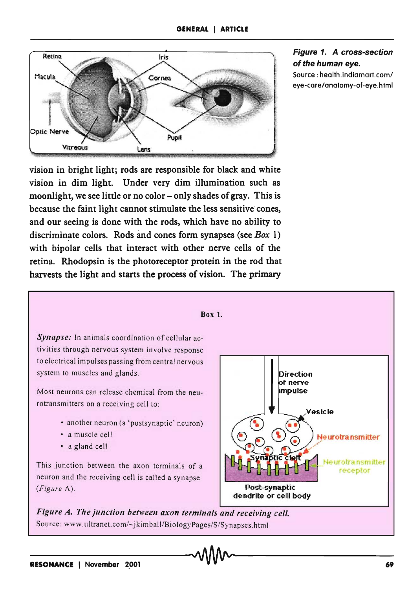

#### Figure 1. A cross-section of the human eye.

Source: health.indiamart.com/ eye-care/anatomy-of-eye.html

vision in bright light; rods are responsible for black and white vision in dim light. Under very dim illumination such as moonlight, we see little or no color  $-\text{only}\,$  shades of gray. This is because the faint light cannot stimulate the less sensitive' cones, and our seeing is done with the rods, which have no ability to discriminate colors. Rods and cones form synapses (see *Box* 1) with bipolar cells that interact with other nerve cells of the retina. Rhodopsin is the photoreceptor protein in the rod that harvests the light and starts the process of vision. The primary



Synapse: In animals coordination of cellular activities through nervous system involve response to electrical impulses passing from central nervous system to muscles and glands.

Most neurons can release chemical from the neurotransmitters on a receiving cell to:

- another neuron (a 'postsynaptic' neuron)
- a muscle cell
- a gland cell

neuron and the receiving cell is called a synapse *(Figure* A). Post-synaptic



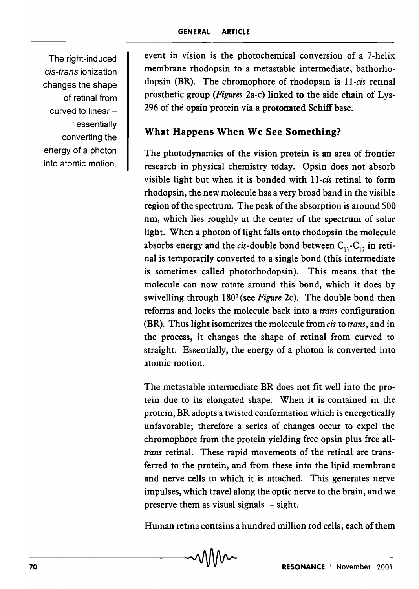The right-induced cis-trans ionization changes the shape of retinal from curved to linear -. essentially converting the energy of a photon into atomic motion.

event in vision is the photochemical conversion of a 7-helix membrane rhodopsin to a metastable intermediate, bathorhodopsin (BR). The chromophore of rhodopsin is *II-cis* retinal prosthetic group *(Figures* 2a-c) linked to the side chain of Lys-296 of the opsin protein via a protonated Schiff base.

# What Happens When We See Something?

The photodynamics of the vision protein is an area of frontier research in physical chemistry today. Opsin does not absorb visible light but when it is bonded with II-cis retinal to form rhodopsin, the new molecule has a very broad band in the visible region of the spectrum. The peak of the absorption is around 500 nm, which lies roughly at the center of the spectrum of solar light. When a photon of light falls onto rhodopsin the molecule absorbs energy and the cis-double bond between  $C_{11}$ -C<sub>12</sub> in retinal is temporarily converted to a single bond (this intermediate is sometimes called photorhodopsin). This means that the molecule can now rotate around this bond, which it does by swivelling through 180<sup>o</sup> (see *Figure 2c*). The double bond then reforms and locks the molecule back into a *trans* configuration (BR). Thus light isomerizes the molecule from *cis* to *trans,* and in the process, it changes the shape of retinal from curved to straight. Essentially, the energy of a photon is converted into atomic motion.

The metastable intermediate BR does not fit well into the protein due to its elongated shape. When it is contained in the protein, BR adopts a twisted conformation which is energetically unfavorable; therefore a series of changes occur to expel the chromophore from the protein yielding free opsin plus free all*trans* retinal. These rapid movements of the retinal are transferred to the protein, and from these into the lipid membrane and nerve cells to which it is attached. This generates nerve impulses, which travel along the optic nerve to the brain, and we preserve them as visual signals  $-$  sight.

Human retina contains a hundred million rod cells; each of them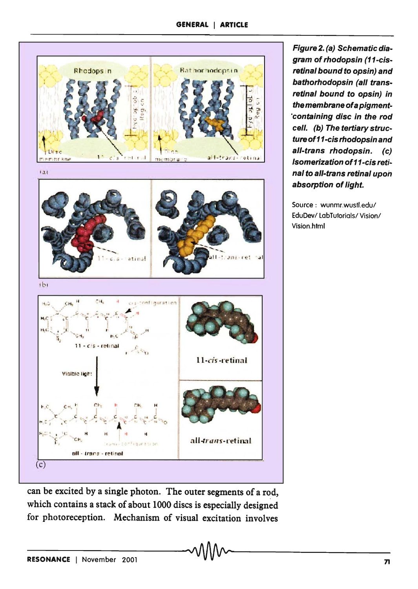

Figure 2. (a) Schematic diagram of rhodopsin (11-cisretinal bound to opsin) and bathorhodopsin (all transretinal bound to opsin) in the membrane ofa pigment- 'containing disc in the rod cell. (b) The tertiary structure of11-cis rhodopsin and aI/-trans rhodopsin. (c) Isomerization of 11-cis retinal to all-trans retinal upon absorption of light.

Source: wunmr.wustl.edu/ EduDev/ labTutorials/ Vision/ Vision.html

can be excited by a single photon. The outer segments of a rod, which contains a stack of about 1000 discs is especially designed for photoreception. Mechanism of visual excitation involves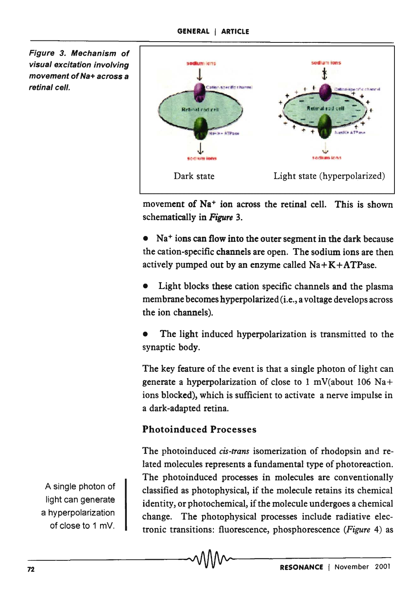Figure 3. Mechanism of visual excitation involving movement of Na+ across a retinal cell.



movement of Na<sup>+</sup> ion across the retinal cell. This is shown schematically in *Figure 3.* 

• Na<sup>+</sup> ions can flow into the outer segment in the dark because the cation-specific channels are open. The sodium ions are then actively pumped out by an enzyme called  $Na + K + ATP$ ase.

Light blocks these cation specific channels and the plasma membrane becomes hyperpolarized (*i.e.*, a voltage develops across the ion channels).

The light induced hyperpolarization is transmitted to the synaptic body.

The key feature of the event is that a single photon of light can generate a hyperpolarization of close to 1 mV(about 106 Na+ ions blocked), which is sufficient to activate a nerve impulse in a dark-adapted retina.

# Photoinduced Processes

The photoinduced *cis-trans* isomerization of rhodopsin and related molecules represents a fundamental type of photoreaction. The photoinduced processes in molecules are conventionally classified as photophysical, if the molecule retains its chemical identity, or photochemical, if the molecule undergoes a chemical change. The photophysical processes include radiative electronic transitions: fluorescence, phosphorescence *(Figure* 4) as

A single photon of light can generate a hyperpolarization of close to 1 mY.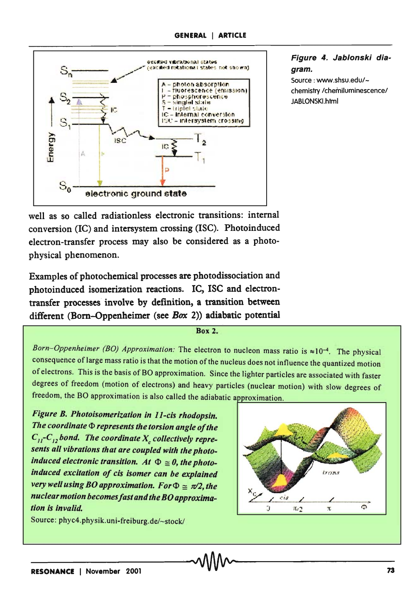

Figure 4. Jablonski diagram. Source: www.shsu.edu/-

chemistry /chemiluminescence/ JABlONSKl,html

well as so called radiationless electronic transitions: internal conversion (IC) and intersystem crossing (ISC). Photoinduced electron-transfer process may also be considered as a photophysical phenomenon.

Examples of photochemical processes are photodissociation and photoinduced isomerization reactions. IC, ISC and electrontransfer processes involve by definition, a transition between different (Born-Oppenheimer (see *Box 2*)) adiabatic potential

Box 2.

*Born-Oppenheimer (BO) Approximation:* The electron to nucleon mass ratio is ≈10<sup>-4</sup>. The physical consequence oflarge mass ratio is that the motion of the nucleus does not influence the quantized motion of electrons. This is the basis of BO approximation. Since the lighter particles are associated with faster degrees of freedom (motion of electrons) and heavy particles (nuclear motion) with slow degrees of freedom, the BO approximation is also called the adiabatic approximation.

*Figure B. Photo isomerization in II-cis rhodopsin.*  **The coordinate**  $\Phi$  **represents the torsion angle of the**  $C_{11}$ - $C_{12}$  *bond. The coordinate*  $X_c$  *collectively represents all vibrations that are coupled with the photoinduced electronic transition. At*  $\Phi \ge 0$ , the photo*induced excitation of cis isomer can be explained very well using BO approximation. For*  $\Phi \cong \pi/2$ , the *nuclear motion becomesfast and the BO approximation is invalid.* 



Source: phyc4.physik.uni-freiburg.de/~stock/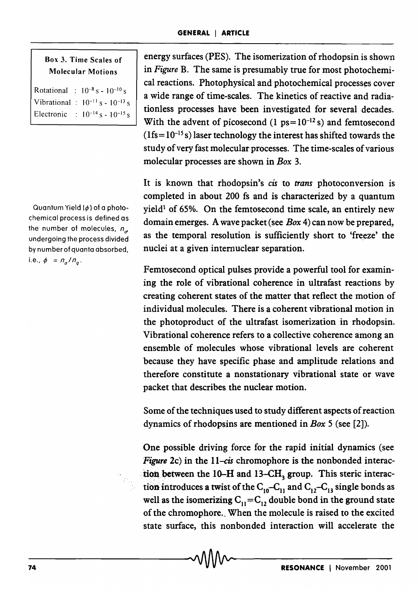#### Box 3. Time Scales of Molecular Motions

Rotational :  $10^{-8}$  s -  $10^{-10}$  s Vibrational :  $10^{-11}$  s -  $10^{-13}$  s Electronic :  $10^{-14}$  s -  $10^{-15}$  s

Quantum Yield  $(\phi)$  of a photochemical process is defined as the number of molecules,  $n_{\alpha}$ undergoing the process divided by number of quanta absorbed, i.e.,  $\phi = n_a/n_a$ .

energy surfaces (PES). The isomerization of rhodopsin is shown in *Figure* B. The same is presumably true for most photochemical reactions. Photophysical and photochemical processes cover a wide range of time-scales. The kinetics of reactive and radiationless processes have been investigated for several decades. With the advent of picosecond  $(1 \text{ ps} = 10^{-12} \text{ s})$  and femtosecond  $(1fs = 10<sup>-15</sup> s)$  laser technology the interest has shifted towards the study of very fast molecular processes. The time-scales of various molecular processes are shown in *Box 3.* 

It is known that rhodopsin's *cis* to *trans* photoconversion is completed in about 200 fs and is characterized by a quantum yield<sup>1</sup> of 65%. On the femtosecond time scale, an entirely new domain emerges. A wave packet (see *Box* 4) can now be prepared, as the temporal resolution is sufficiently short to 'freeze' the nuclei at a given internuclear separation.

Femtosecond optical pulses provide a powerful tool for examining the role of vibrational coherence in ultrafast reactions by creating coherent states of the matter that reflect the motion of individual molecules. There is a coherent vibrational motion in the photoproduct of the ultrafast isomerization in rhodopsin. Vibrational coherence refers to a collective coherence among an ensemble of molecules whose vibrational levels are coherent because they have specific phase and amplitude relations and therefore constitute a nonstationary vibrational state or wave packet that describes the nuclear motion.

Some of the techniques used to study different aspects of reaction dynamics of rhodopsins are mentioned in *Box* 5 (see [2]).

One possible driving force for the rapid initial dynamics (see *Figure* 2c) in the *ll-cis* chromophore is the nonbonded interaction between the 10-H and 13-CH<sub>3</sub> group. This steric interaction introduces a twist of the  $C_{10}-C_{11}$  and  $C_{12}-C_{13}$  single bonds as well as the isomerizing  $C_{11} = C_{12}$  double bond in the ground state of the chromophore., When the molecule is raised to the excited state surface, this nonbonded interaction will accelerate the

 $\overline{\phantom{a}}$  -  $\overline{\phantom{a}}$  -  $\overline{\phantom{a}}$  -  $\overline{\phantom{a}}$   $\overline{\phantom{a}}$   $\overline{\phantom{a}}$   $\overline{\phantom{a}}$   $\overline{\phantom{a}}$   $\overline{\phantom{a}}$   $\overline{\phantom{a}}$   $\overline{\phantom{a}}$   $\overline{\phantom{a}}$   $\overline{\phantom{a}}$   $\overline{\phantom{a}}$   $\overline{\phantom{a}}$   $\overline{\phantom{a}}$   $\overline{\phantom{a}}$   $\overline{\phantom{a}}$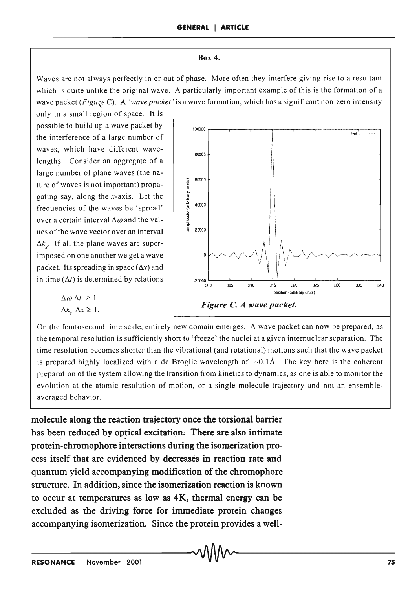#### **Box 4.**

Waves are not always perfectly in or out of phase. More often they interfere giving rise to a resultant which is quite unlike the original wave. A particularly important example of this is the formation of a wave packet *(Figu,e* C). A *'wave packet'* is a wave formation, which has a significant non-zero intensity

only in a small region of space. It is possible to build up a wave packet by the interference of a large number of waves, which have different wavelengths. Consider an aggregate of a large number of plane waves (the nature of waves is not important) propagating say, along the x-axis. Let the frequencies of the waves be 'spread' over a certain interval  $\Delta\omega$  and the values ofthe wave vector over an interval  $\Delta k$ <sup>*''.*</sup> If all the plane waves are superimposed on one another we get a wave packet. Its spreading in space  $(\Delta x)$  and in time  $(\Delta t)$  is determined by relations



 $\Delta \omega \, \Delta t \geq 1$  $\Delta k$ ,  $\Delta x \geq 1$ .

On the femtosecond time scale, entirely new domain emerges. A wave packet can now be prepared, as the temporal resolution is sufficiently short to 'freeze' the nuclei at a given internuclear separation. The time resolution becomes shorter than the vibrational (and rotational) motions such that the wave packet is prepared highly localized with a de Broglie wavelength of  $\sim 0.1$ Å. The key here is the coherent preparation of the system allowing the transition from kinetics to dynamics, as one is able to monitor the evolution at the atomic resolution of motion, or a single molecule trajectory and not an ensembleaveraged behavior.

**molecule along the reaction trajectory once the torsional barrier**  has been reduced by optical excitation. There are also intimate **protein-chromophore interactions during the isomerization process itself that are evidenced by decreases in reaction rate and quantum yield accompanying modification of the chromophore structure. In addition, since the isomerization reaction is known to occur at temperatures as low as 4K, thermal energy can be**  excluded as the driving force for immediate protein changes **accompanying isomerization. Since the protein provides a well-**